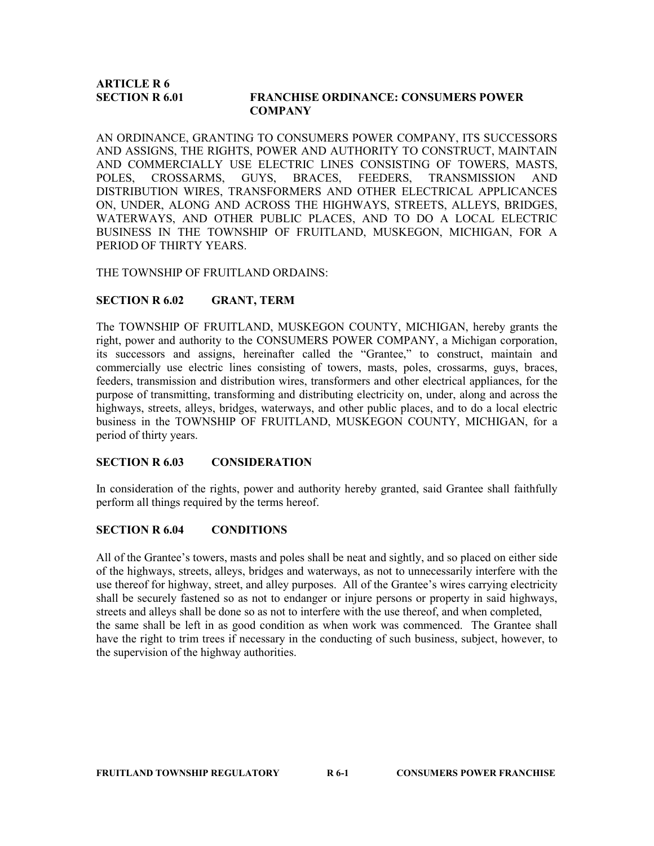# ARTICLE R 6

## SECTION R 6.01 FRANCHISE ORDINANCE: CONSUMERS POWER **COMPANY**

AN ORDINANCE, GRANTING TO CONSUMERS POWER COMPANY, ITS SUCCESSORS AND ASSIGNS, THE RIGHTS, POWER AND AUTHORITY TO CONSTRUCT, MAINTAIN AND COMMERCIALLY USE ELECTRIC LINES CONSISTING OF TOWERS, MASTS, POLES, CROSSARMS, GUYS, BRACES, FEEDERS, TRANSMISSION AND DISTRIBUTION WIRES, TRANSFORMERS AND OTHER ELECTRICAL APPLICANCES ON, UNDER, ALONG AND ACROSS THE HIGHWAYS, STREETS, ALLEYS, BRIDGES, WATERWAYS, AND OTHER PUBLIC PLACES, AND TO DO A LOCAL ELECTRIC BUSINESS IN THE TOWNSHIP OF FRUITLAND, MUSKEGON, MICHIGAN, FOR A PERIOD OF THIRTY YEARS.

#### THE TOWNSHIP OF FRUITLAND ORDAINS:

# SECTION R 6.02 GRANT, TERM

The TOWNSHIP OF FRUITLAND, MUSKEGON COUNTY, MICHIGAN, hereby grants the right, power and authority to the CONSUMERS POWER COMPANY, a Michigan corporation, its successors and assigns, hereinafter called the "Grantee," to construct, maintain and commercially use electric lines consisting of towers, masts, poles, crossarms, guys, braces, feeders, transmission and distribution wires, transformers and other electrical appliances, for the purpose of transmitting, transforming and distributing electricity on, under, along and across the highways, streets, alleys, bridges, waterways, and other public places, and to do a local electric business in the TOWNSHIP OF FRUITLAND, MUSKEGON COUNTY, MICHIGAN, for a period of thirty years.

#### SECTION R 6.03 CONSIDERATION

In consideration of the rights, power and authority hereby granted, said Grantee shall faithfully perform all things required by the terms hereof.

## SECTION R 6.04 CONDITIONS

All of the Grantee's towers, masts and poles shall be neat and sightly, and so placed on either side of the highways, streets, alleys, bridges and waterways, as not to unnecessarily interfere with the use thereof for highway, street, and alley purposes. All of the Grantee's wires carrying electricity shall be securely fastened so as not to endanger or injure persons or property in said highways, streets and alleys shall be done so as not to interfere with the use thereof, and when completed, the same shall be left in as good condition as when work was commenced. The Grantee shall have the right to trim trees if necessary in the conducting of such business, subject, however, to the supervision of the highway authorities.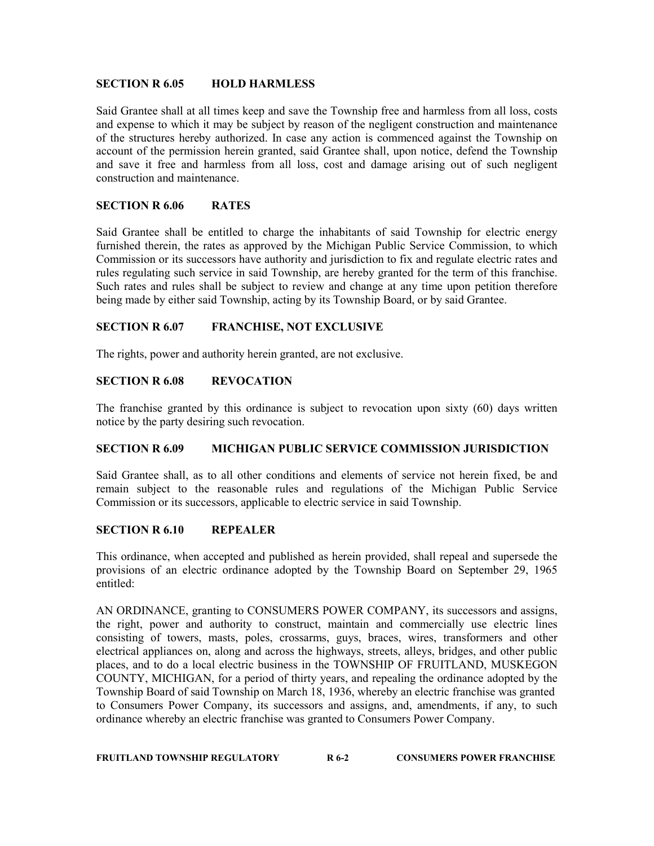## SECTION R 6.05 HOLD HARMLESS

Said Grantee shall at all times keep and save the Township free and harmless from all loss, costs and expense to which it may be subject by reason of the negligent construction and maintenance of the structures hereby authorized. In case any action is commenced against the Township on account of the permission herein granted, said Grantee shall, upon notice, defend the Township and save it free and harmless from all loss, cost and damage arising out of such negligent construction and maintenance.

## SECTION R 6.06 RATES

Said Grantee shall be entitled to charge the inhabitants of said Township for electric energy furnished therein, the rates as approved by the Michigan Public Service Commission, to which Commission or its successors have authority and jurisdiction to fix and regulate electric rates and rules regulating such service in said Township, are hereby granted for the term of this franchise. Such rates and rules shall be subject to review and change at any time upon petition therefore being made by either said Township, acting by its Township Board, or by said Grantee.

# SECTION R 6.07 FRANCHISE, NOT EXCLUSIVE

The rights, power and authority herein granted, are not exclusive.

## SECTION R 6.08 REVOCATION

The franchise granted by this ordinance is subject to revocation upon sixty (60) days written notice by the party desiring such revocation.

# SECTION R 6.09 MICHIGAN PUBLIC SERVICE COMMISSION JURISDICTION

Said Grantee shall, as to all other conditions and elements of service not herein fixed, be and remain subject to the reasonable rules and regulations of the Michigan Public Service Commission or its successors, applicable to electric service in said Township.

## SECTION R 6.10 REPEALER

This ordinance, when accepted and published as herein provided, shall repeal and supersede the provisions of an electric ordinance adopted by the Township Board on September 29, 1965 entitled:

AN ORDINANCE, granting to CONSUMERS POWER COMPANY, its successors and assigns, the right, power and authority to construct, maintain and commercially use electric lines consisting of towers, masts, poles, crossarms, guys, braces, wires, transformers and other electrical appliances on, along and across the highways, streets, alleys, bridges, and other public places, and to do a local electric business in the TOWNSHIP OF FRUITLAND, MUSKEGON COUNTY, MICHIGAN, for a period of thirty years, and repealing the ordinance adopted by the Township Board of said Township on March 18, 1936, whereby an electric franchise was granted to Consumers Power Company, its successors and assigns, and, amendments, if any, to such ordinance whereby an electric franchise was granted to Consumers Power Company.

| <b>FRUITLAND TOWNSHIP REGULATORY</b> | R 6-2 | <b>CONSUMERS POWER FRANCHISE</b> |
|--------------------------------------|-------|----------------------------------|
|                                      |       |                                  |